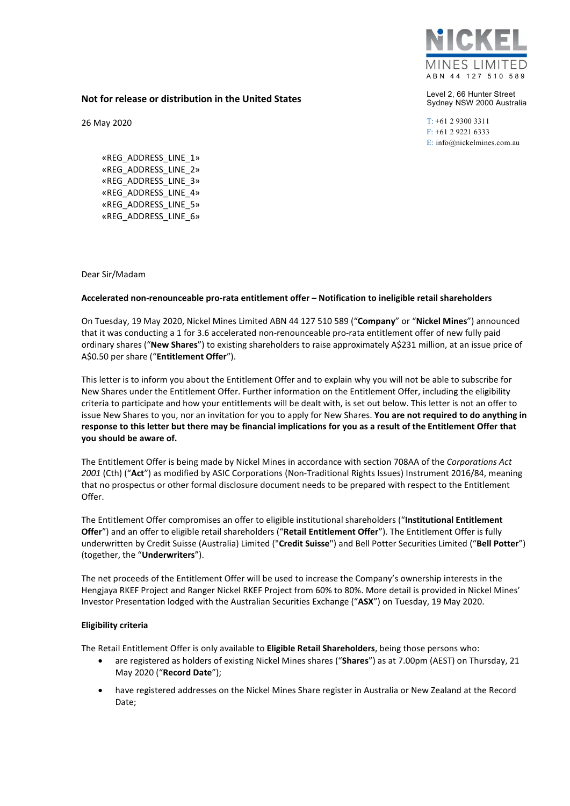

Level 2, 66 Hunter Street Sydney NSW 2000 Australia

T: +61 2 9300 3311 F: +61 2 9221 6333 E: info@nickelmines.com.au

## Not for release or distribution in the United States

26 May 2020

«REG\_ADDRESS\_LINE\_1» «REG\_ADDRESS\_LINE\_2» «REG\_ADDRESS\_LINE\_3» «REG\_ADDRESS\_LINE\_4» «REG\_ADDRESS\_LINE\_5» «REG\_ADDRESS\_LINE\_6»

Dear Sir/Madam

## Accelerated non-renounceable pro-rata entitlement offer – Notification to ineligible retail shareholders

On Tuesday, 19 May 2020, Nickel Mines Limited ABN 44 127 510 589 ("Company" or "Nickel Mines") announced that it was conducting a 1 for 3.6 accelerated non-renounceable pro-rata entitlement offer of new fully paid ordinary shares ("New Shares") to existing shareholders to raise approximately A\$231 million, at an issue price of A\$0.50 per share ("Entitlement Offer").

This letter is to inform you about the Entitlement Offer and to explain why you will not be able to subscribe for New Shares under the Entitlement Offer. Further information on the Entitlement Offer, including the eligibility criteria to participate and how your entitlements will be dealt with, is set out below. This letter is not an offer to issue New Shares to you, nor an invitation for you to apply for New Shares. You are not required to do anything in response to this letter but there may be financial implications for you as a result of the Entitlement Offer that you should be aware of.

The Entitlement Offer is being made by Nickel Mines in accordance with section 708AA of the Corporations Act 2001 (Cth) ("Act") as modified by ASIC Corporations (Non-Traditional Rights Issues) Instrument 2016/84, meaning that no prospectus or other formal disclosure document needs to be prepared with respect to the Entitlement Offer.

The Entitlement Offer compromises an offer to eligible institutional shareholders ("Institutional Entitlement Offer") and an offer to eligible retail shareholders ("Retail Entitlement Offer"). The Entitlement Offer is fully underwritten by Credit Suisse (Australia) Limited ("Credit Suisse") and Bell Potter Securities Limited ("Bell Potter") (together, the "Underwriters").

The net proceeds of the Entitlement Offer will be used to increase the Company's ownership interests in the Hengjaya RKEF Project and Ranger Nickel RKEF Project from 60% to 80%. More detail is provided in Nickel Mines' Investor Presentation lodged with the Australian Securities Exchange ("ASX") on Tuesday, 19 May 2020.

## Eligibility criteria

The Retail Entitlement Offer is only available to Eligible Retail Shareholders, being those persons who:

- are registered as holders of existing Nickel Mines shares ("Shares") as at 7.00pm (AEST) on Thursday, 21 May 2020 ("Record Date");
- have registered addresses on the Nickel Mines Share register in Australia or New Zealand at the Record Date;